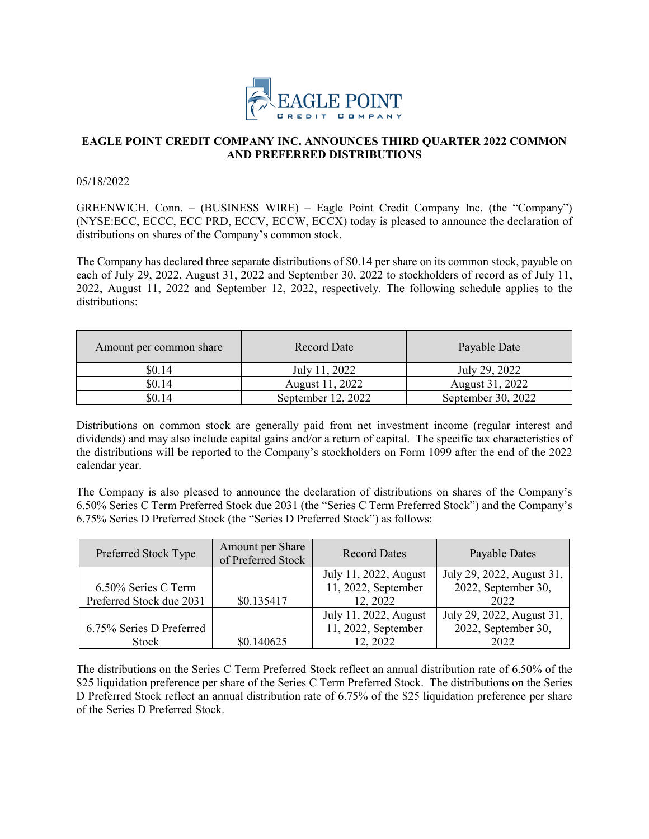

## **EAGLE POINT CREDIT COMPANY INC. ANNOUNCES THIRD QUARTER 2022 COMMON AND PREFERRED DISTRIBUTIONS**

05/18/2022

GREENWICH, Conn. – (BUSINESS WIRE) – Eagle Point Credit Company Inc. (the "Company") (NYSE:ECC, ECCC, ECC PRD, ECCV, ECCW, ECCX) today is pleased to announce the declaration of distributions on shares of the Company's common stock.

The Company has declared three separate distributions of \$0.14 per share on its common stock, payable on each of July 29, 2022, August 31, 2022 and September 30, 2022 to stockholders of record as of July 11, 2022, August 11, 2022 and September 12, 2022, respectively. The following schedule applies to the distributions:

| Amount per common share | Record Date        | Payable Date       |
|-------------------------|--------------------|--------------------|
| \$0.14                  | July 11, 2022      | July 29, 2022      |
| \$0.14                  | August 11, 2022    | August 31, 2022    |
| \$0.14                  | September 12, 2022 | September 30, 2022 |

Distributions on common stock are generally paid from net investment income (regular interest and dividends) and may also include capital gains and/or a return of capital. The specific tax characteristics of the distributions will be reported to the Company's stockholders on Form 1099 after the end of the 2022 calendar year.

The Company is also pleased to announce the declaration of distributions on shares of the Company's 6.50% Series C Term Preferred Stock due 2031 (the "Series C Term Preferred Stock") and the Company's 6.75% Series D Preferred Stock (the "Series D Preferred Stock") as follows:

| Preferred Stock Type     | Amount per Share<br>of Preferred Stock | <b>Record Dates</b>   | Payable Dates             |
|--------------------------|----------------------------------------|-----------------------|---------------------------|
|                          |                                        | July 11, 2022, August | July 29, 2022, August 31, |
| 6.50% Series C Term      |                                        | 11, 2022, September   | 2022, September 30,       |
| Preferred Stock due 2031 | \$0.135417                             | 12, 2022              | 2022                      |
|                          |                                        | July 11, 2022, August | July 29, 2022, August 31, |
| 6.75% Series D Preferred |                                        | 11, 2022, September   | 2022, September 30,       |
| Stock                    | \$0.140625                             | 12, 2022              | 2022                      |

The distributions on the Series C Term Preferred Stock reflect an annual distribution rate of 6.50% of the \$25 liquidation preference per share of the Series C Term Preferred Stock. The distributions on the Series D Preferred Stock reflect an annual distribution rate of 6.75% of the \$25 liquidation preference per share of the Series D Preferred Stock.